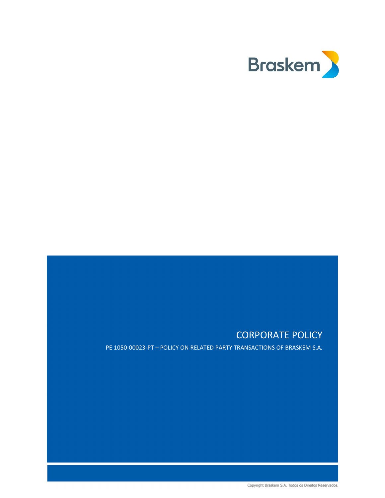

# CORPORATE POLICY

PE 1050-00023-PT – POLICY ON RELATED PARTY TRANSACTIONS OF BRASKEM S.A.

Copyright Braskem S.A. Todos os Direitos Reservados.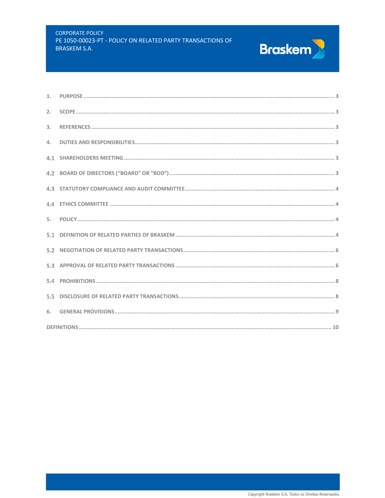#### **CORPORATE POLICY** PE 1050-00023-PT - POLICY ON RELATED PARTY TRANSACTIONS OF **BRASKEM S.A.**



**Braskem**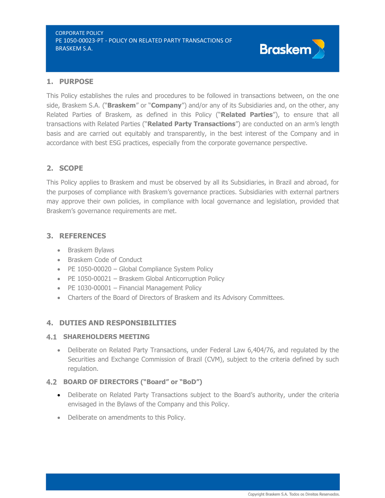# 1. PURPOSE

This Policy establishes the rules and procedures to be followed in transactions between, on the one side, Braskem S.A. ("**Braskem**" or "**Company**") and/or any of its Subsidiaries and, on the other, any Related Parties of Braskem, as defined in this Policy ("Related Parties"), to ensure that all transactions with Related Parties ("Related Party Transactions") are conducted on an arm's length basis and are carried out equitably and transparently, in the best interest of the Company and in accordance with best ESG practices, especially from the corporate governance perspective.

# 2. SCOPE

This Policy applies to Braskem and must be observed by all its Subsidiaries, in Brazil and abroad, for the purposes of compliance with Braskem's governance practices. Subsidiaries with external partners may approve their own policies, in compliance with local governance and legislation, provided that Braskem's governance requirements are met.

# 3. REFERENCES

- Braskem Bylaws
- Braskem Code of Conduct
- PE 1050-00020 Global Compliance System Policy
- PE 1050-00021 Braskem Global Anticorruption Policy
- PE 1030-00001 Financial Management Policy
- Charters of the Board of Directors of Braskem and its Advisory Committees.

# 4. DUTIES AND RESPONSIBILITIES

# **4.1 SHAREHOLDERS MEETING**

 Deliberate on Related Party Transactions, under Federal Law 6,404/76, and regulated by the Securities and Exchange Commission of Brazil (CVM), subject to the criteria defined by such regulation.

# 4.2 BOARD OF DIRECTORS ("Board" or "BoD")

- Deliberate on Related Party Transactions subject to the Board's authority, under the criteria envisaged in the Bylaws of the Company and this Policy.
- Deliberate on amendments to this Policy.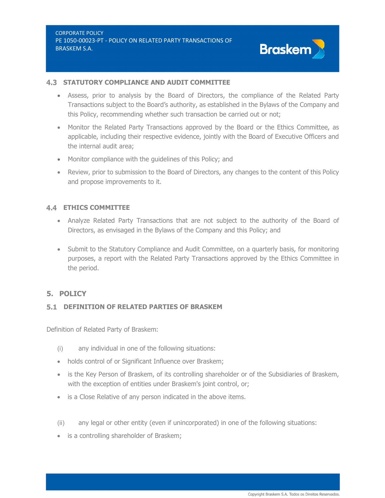

#### **4.3 STATUTORY COMPLIANCE AND AUDIT COMMITTEE**

- Assess, prior to analysis by the Board of Directors, the compliance of the Related Party Transactions subject to the Board's authority, as established in the Bylaws of the Company and this Policy, recommending whether such transaction be carried out or not;
- Monitor the Related Party Transactions approved by the Board or the Ethics Committee, as applicable, including their respective evidence, jointly with the Board of Executive Officers and the internal audit area;
- Monitor compliance with the guidelines of this Policy; and
- Review, prior to submission to the Board of Directors, any changes to the content of this Policy and propose improvements to it.

# **4.4 ETHICS COMMITTEE**

- Analyze Related Party Transactions that are not subject to the authority of the Board of Directors, as envisaged in the Bylaws of the Company and this Policy; and
- Submit to the Statutory Compliance and Audit Committee, on a quarterly basis, for monitoring purposes, a report with the Related Party Transactions approved by the Ethics Committee in the period.

# 5. POLICY

# DEFINITION OF RELATED PARTIES OF BRASKEM

Definition of Related Party of Braskem:

- (i) any individual in one of the following situations:
- holds control of or Significant Influence over Braskem;
- is the Key Person of Braskem, of its controlling shareholder or of the Subsidiaries of Braskem, with the exception of entities under Braskem's joint control, or;
- is a Close Relative of any person indicated in the above items.
- (ii) any legal or other entity (even if unincorporated) in one of the following situations:
- is a controlling shareholder of Braskem;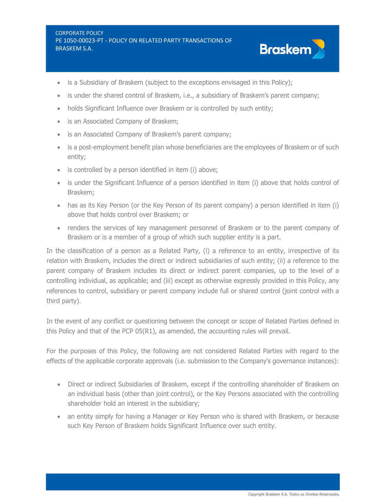

- is a Subsidiary of Braskem (subject to the exceptions envisaged in this Policy);
- is under the shared control of Braskem, i.e., a subsidiary of Braskem's parent company;
- holds Significant Influence over Braskem or is controlled by such entity;
- is an Associated Company of Braskem;
- is an Associated Company of Braskem's parent company;
- is a post-employment benefit plan whose beneficiaries are the employees of Braskem or of such entity;
- is controlled by a person identified in item (i) above;
- is under the Significant Influence of a person identified in item (i) above that holds control of Braskem;
- has as its Key Person (or the Key Person of its parent company) a person identified in item (i) above that holds control over Braskem; or
- renders the services of key management personnel of Braskem or to the parent company of Braskem or is a member of a group of which such supplier entity is a part.

In the classification of a person as a Related Party, (i) a reference to an entity, irrespective of its relation with Braskem, includes the direct or indirect subsidiaries of such entity; (ii) a reference to the parent company of Braskem includes its direct or indirect parent companies, up to the level of a controlling individual, as applicable; and (iii) except as otherwise expressly provided in this Policy, any references to control, subsidiary or parent company include full or shared control (joint control with a third party).

In the event of any conflict or questioning between the concept or scope of Related Parties defined in this Policy and that of the PCP 05(R1), as amended, the accounting rules will prevail.

For the purposes of this Policy, the following are not considered Related Parties with regard to the effects of the applicable corporate approvals (i.e. submission to the Company's governance instances):

- Direct or indirect Subsidiaries of Braskem, except if the controlling shareholder of Braskem on an individual basis (other than joint control), or the Key Persons associated with the controlling shareholder hold an interest in the subsidiary;
- an entity simply for having a Manager or Key Person who is shared with Braskem, or because such Key Person of Braskem holds Significant Influence over such entity.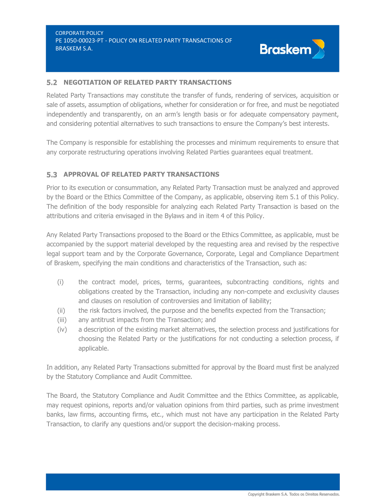

#### 5.2 NEGOTIATION OF RELATED PARTY TRANSACTIONS

Related Party Transactions may constitute the transfer of funds, rendering of services, acquisition or sale of assets, assumption of obligations, whether for consideration or for free, and must be negotiated independently and transparently, on an arm's length basis or for adequate compensatory payment, and considering potential alternatives to such transactions to ensure the Company's best interests.

The Company is responsible for establishing the processes and minimum requirements to ensure that any corporate restructuring operations involving Related Parties guarantees equal treatment.

# **5.3 APPROVAL OF RELATED PARTY TRANSACTIONS**

Prior to its execution or consummation, any Related Party Transaction must be analyzed and approved by the Board or the Ethics Committee of the Company, as applicable, observing item 5.1 of this Policy. The definition of the body responsible for analyzing each Related Party Transaction is based on the attributions and criteria envisaged in the Bylaws and in item 4 of this Policy.

Any Related Party Transactions proposed to the Board or the Ethics Committee, as applicable, must be accompanied by the support material developed by the requesting area and revised by the respective legal support team and by the Corporate Governance, Corporate, Legal and Compliance Department of Braskem, specifying the main conditions and characteristics of the Transaction, such as:

- (i) the contract model, prices, terms, guarantees, subcontracting conditions, rights and obligations created by the Transaction, including any non-compete and exclusivity clauses and clauses on resolution of controversies and limitation of liability;
- (ii) the risk factors involved, the purpose and the benefits expected from the Transaction;
- (iii) any antitrust impacts from the Transaction; and
- (iv) a description of the existing market alternatives, the selection process and justifications for choosing the Related Party or the justifications for not conducting a selection process, if applicable.

In addition, any Related Party Transactions submitted for approval by the Board must first be analyzed by the Statutory Compliance and Audit Committee.

The Board, the Statutory Compliance and Audit Committee and the Ethics Committee, as applicable, may request opinions, reports and/or valuation opinions from third parties, such as prime investment banks, law firms, accounting firms, etc., which must not have any participation in the Related Party Transaction, to clarify any questions and/or support the decision-making process.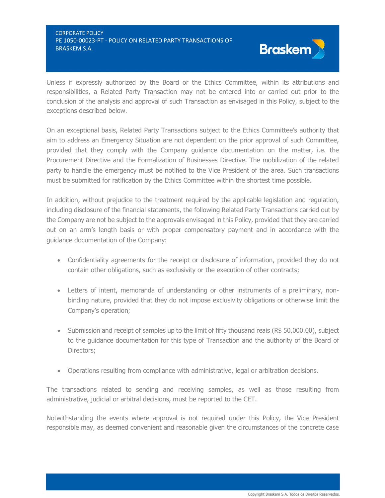

Unless if expressly authorized by the Board or the Ethics Committee, within its attributions and responsibilities, a Related Party Transaction may not be entered into or carried out prior to the conclusion of the analysis and approval of such Transaction as envisaged in this Policy, subject to the exceptions described below.

On an exceptional basis, Related Party Transactions subject to the Ethics Committee's authority that aim to address an Emergency Situation are not dependent on the prior approval of such Committee, provided that they comply with the Company guidance documentation on the matter, i.e. the Procurement Directive and the Formalization of Businesses Directive. The mobilization of the related party to handle the emergency must be notified to the Vice President of the area. Such transactions must be submitted for ratification by the Ethics Committee within the shortest time possible.

In addition, without prejudice to the treatment required by the applicable legislation and regulation, including disclosure of the financial statements, the following Related Party Transactions carried out by the Company are not be subject to the approvals envisaged in this Policy, provided that they are carried out on an arm's length basis or with proper compensatory payment and in accordance with the guidance documentation of the Company:

- Confidentiality agreements for the receipt or disclosure of information, provided they do not contain other obligations, such as exclusivity or the execution of other contracts;
- Letters of intent, memoranda of understanding or other instruments of a preliminary, nonbinding nature, provided that they do not impose exclusivity obligations or otherwise limit the Company's operation;
- $\bullet$  Submission and receipt of samples up to the limit of fifty thousand reais (R\$ 50,000.00), subject to the guidance documentation for this type of Transaction and the authority of the Board of Directors;
- Operations resulting from compliance with administrative, legal or arbitration decisions.

The transactions related to sending and receiving samples, as well as those resulting from administrative, judicial or arbitral decisions, must be reported to the CET.

Notwithstanding the events where approval is not required under this Policy, the Vice President responsible may, as deemed convenient and reasonable given the circumstances of the concrete case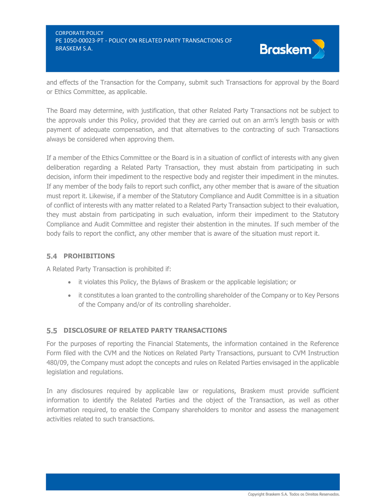CORPORATE POLICY PE 1050-00023-PT - POLICY ON RELATED PARTY TRANSACTIONS OF **BRASKEM S.A.** BRASKEM S.A.



and effects of the Transaction for the Company, submit such Transactions for approval by the Board or Ethics Committee, as applicable.

The Board may determine, with justification, that other Related Party Transactions not be subject to the approvals under this Policy, provided that they are carried out on an arm's length basis or with payment of adequate compensation, and that alternatives to the contracting of such Transactions always be considered when approving them.

If a member of the Ethics Committee or the Board is in a situation of conflict of interests with any given deliberation regarding a Related Party Transaction, they must abstain from participating in such decision, inform their impediment to the respective body and register their impediment in the minutes. If any member of the body fails to report such conflict, any other member that is aware of the situation must report it. Likewise, if a member of the Statutory Compliance and Audit Committee is in a situation of conflict of interests with any matter related to a Related Party Transaction subject to their evaluation, they must abstain from participating in such evaluation, inform their impediment to the Statutory Compliance and Audit Committee and register their abstention in the minutes. If such member of the body fails to report the conflict, any other member that is aware of the situation must report it.

# **5.4 PROHIBITIONS**

A Related Party Transaction is prohibited if:

- it violates this Policy, the Bylaws of Braskem or the applicable legislation; or
- it constitutes a loan granted to the controlling shareholder of the Company or to Key Persons of the Company and/or of its controlling shareholder.

#### DISCLOSURE OF RELATED PARTY TRANSACTIONS

For the purposes of reporting the Financial Statements, the information contained in the Reference Form filed with the CVM and the Notices on Related Party Transactions, pursuant to CVM Instruction 480/09, the Company must adopt the concepts and rules on Related Parties envisaged in the applicable legislation and regulations.

In any disclosures required by applicable law or regulations, Braskem must provide sufficient information to identify the Related Parties and the object of the Transaction, as well as other information required, to enable the Company shareholders to monitor and assess the management activities related to such transactions.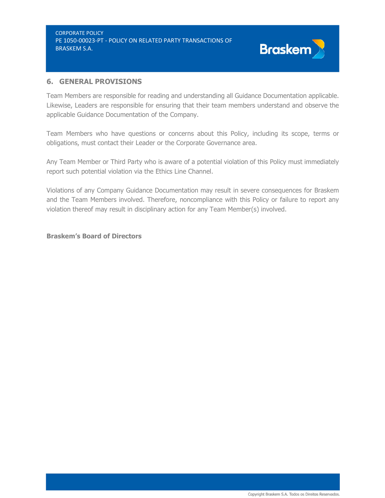

# 6. GENERAL PROVISIONS

Team Members are responsible for reading and understanding all Guidance Documentation applicable. Likewise, Leaders are responsible for ensuring that their team members understand and observe the applicable Guidance Documentation of the Company.

Team Members who have questions or concerns about this Policy, including its scope, terms or obligations, must contact their Leader or the Corporate Governance area.

Any Team Member or Third Party who is aware of a potential violation of this Policy must immediately report such potential violation via the Ethics Line Channel.

Violations of any Company Guidance Documentation may result in severe consequences for Braskem and the Team Members involved. Therefore, noncompliance with this Policy or failure to report any violation thereof may result in disciplinary action for any Team Member(s) involved.

#### Braskem's Board of Directors

Copyright Braskem S.A. Todos os Direitos Reservados.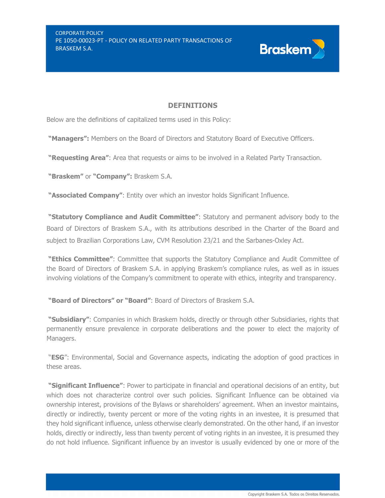

# **DEFINITIONS**

Below are the definitions of capitalized terms used in this Policy:

"Managers": Members on the Board of Directors and Statutory Board of Executive Officers.

"Requesting Area": Area that requests or aims to be involved in a Related Party Transaction.

"Braskem" or "Company": Braskem S.A.

"**Associated Company":** Entity over which an investor holds Significant Influence.

"Statutory Compliance and Audit Committee": Statutory and permanent advisory body to the Board of Directors of Braskem S.A., with its attributions described in the Charter of the Board and subject to Brazilian Corporations Law, CVM Resolution 23/21 and the Sarbanes-Oxley Act.

"Ethics Committee": Committee that supports the Statutory Compliance and Audit Committee of the Board of Directors of Braskem S.A. in applying Braskem's compliance rules, as well as in issues involving violations of the Company's commitment to operate with ethics, integrity and transparency.

"Board of Directors" or "Board": Board of Directors of Braskem S.A.

"Subsidiary": Companies in which Braskem holds, directly or through other Subsidiaries, rights that permanently ensure prevalence in corporate deliberations and the power to elect the majority of Managers.

"ESG": Environmental, Social and Governance aspects, indicating the adoption of good practices in these areas.

"Significant Influence": Power to participate in financial and operational decisions of an entity, but which does not characterize control over such policies. Significant Influence can be obtained via ownership interest, provisions of the Bylaws or shareholders' agreement. When an investor maintains, directly or indirectly, twenty percent or more of the voting rights in an investee, it is presumed that they hold significant influence, unless otherwise clearly demonstrated. On the other hand, if an investor holds, directly or indirectly, less than twenty percent of voting rights in an investee, it is presumed they do not hold influence. Significant influence by an investor is usually evidenced by one or more of the